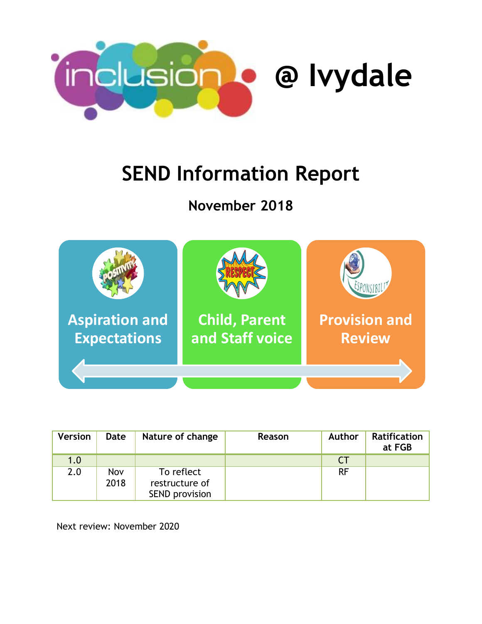

# **SEND Information Report**

# **November 2018**



| <b>Version</b> | Date        | Nature of change                                      | Reason | <b>Author</b> | <b>Ratification</b><br>at FGB |
|----------------|-------------|-------------------------------------------------------|--------|---------------|-------------------------------|
| 1.0            |             |                                                       |        | <b>CT</b>     |                               |
| 2.0            | Nov<br>2018 | To reflect<br>restructure of<br><b>SEND provision</b> |        | <b>RF</b>     |                               |

Next review: November 2020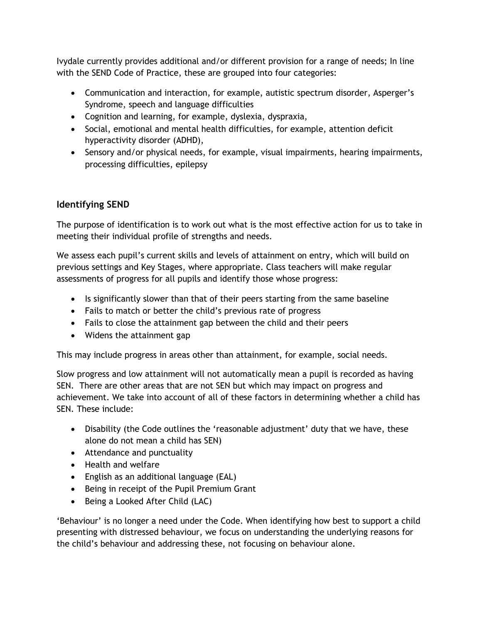Ivydale currently provides additional and/or different provision for a range of needs; In line with the SEND Code of Practice, these are grouped into four categories:

- Communication and interaction, for example, autistic spectrum disorder, Asperger's Syndrome, speech and language difficulties
- Cognition and learning, for example, dyslexia, dyspraxia,
- Social, emotional and mental health difficulties, for example, attention deficit hyperactivity disorder (ADHD),
- Sensory and/or physical needs, for example, visual impairments, hearing impairments, processing difficulties, epilepsy

# **Identifying SEND**

The purpose of identification is to work out what is the most effective action for us to take in meeting their individual profile of strengths and needs.

We assess each pupil's current skills and levels of attainment on entry, which will build on previous settings and Key Stages, where appropriate. Class teachers will make regular assessments of progress for all pupils and identify those whose progress:

- Is significantly slower than that of their peers starting from the same baseline
- Fails to match or better the child's previous rate of progress
- Fails to close the attainment gap between the child and their peers
- Widens the attainment gap

This may include progress in areas other than attainment, for example, social needs.

Slow progress and low attainment will not automatically mean a pupil is recorded as having SEN. There are other areas that are not SEN but which may impact on progress and achievement. We take into account of all of these factors in determining whether a child has SEN. These include:

- Disability (the Code outlines the 'reasonable adjustment' duty that we have, these alone do not mean a child has SEN)
- Attendance and punctuality
- Health and welfare
- English as an additional language (EAL)
- Being in receipt of the Pupil Premium Grant
- Being a Looked After Child (LAC)

'Behaviour' is no longer a need under the Code. When identifying how best to support a child presenting with distressed behaviour, we focus on understanding the underlying reasons for the child's behaviour and addressing these, not focusing on behaviour alone.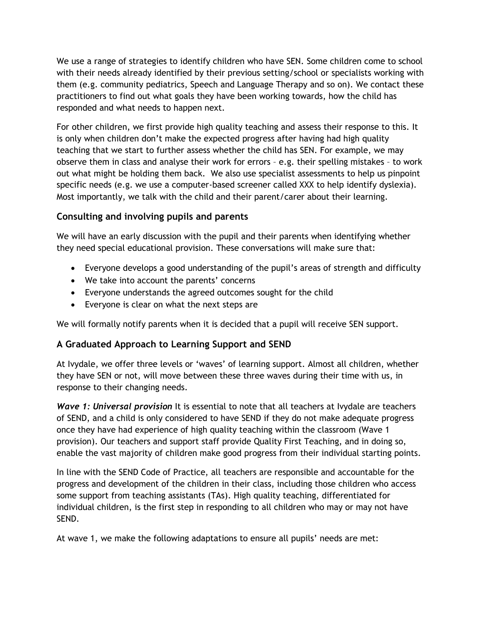We use a range of strategies to identify children who have SEN. Some children come to school with their needs already identified by their previous setting/school or specialists working with them (e.g. community pediatrics, Speech and Language Therapy and so on). We contact these practitioners to find out what goals they have been working towards, how the child has responded and what needs to happen next.

For other children, we first provide high quality teaching and assess their response to this. It is only when children don't make the expected progress after having had high quality teaching that we start to further assess whether the child has SEN. For example, we may observe them in class and analyse their work for errors – e.g. their spelling mistakes – to work out what might be holding them back. We also use specialist assessments to help us pinpoint specific needs (e.g. we use a computer-based screener called XXX to help identify dyslexia). Most importantly, we talk with the child and their parent/carer about their learning.

### **Consulting and involving pupils and parents**

We will have an early discussion with the pupil and their parents when identifying whether they need special educational provision. These conversations will make sure that:

- Everyone develops a good understanding of the pupil's areas of strength and difficulty
- We take into account the parents' concerns
- Everyone understands the agreed outcomes sought for the child
- Everyone is clear on what the next steps are

We will formally notify parents when it is decided that a pupil will receive SEN support.

# **A Graduated Approach to Learning Support and SEND**

At Ivydale, we offer three levels or 'waves' of learning support. Almost all children, whether they have SEN or not, will move between these three waves during their time with us, in response to their changing needs.

*Wave 1: Universal provision* It is essential to note that all teachers at Ivydale are teachers of SEND, and a child is only considered to have SEND if they do not make adequate progress once they have had experience of high quality teaching within the classroom (Wave 1 provision). Our teachers and support staff provide Quality First Teaching, and in doing so, enable the vast majority of children make good progress from their individual starting points.

In line with the SEND Code of Practice, all teachers are responsible and accountable for the progress and development of the children in their class, including those children who access some support from teaching assistants (TAs). High quality teaching, differentiated for individual children, is the first step in responding to all children who may or may not have SEND.

At wave 1, we make the following adaptations to ensure all pupils' needs are met: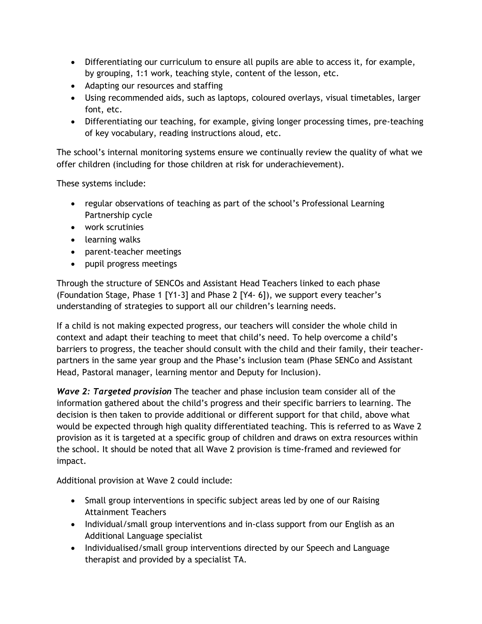- Differentiating our curriculum to ensure all pupils are able to access it, for example, by grouping, 1:1 work, teaching style, content of the lesson, etc.
- Adapting our resources and staffing
- Using recommended aids, such as laptops, coloured overlays, visual timetables, larger font, etc.
- Differentiating our teaching, for example, giving longer processing times, pre-teaching of key vocabulary, reading instructions aloud, etc.

The school's internal monitoring systems ensure we continually review the quality of what we offer children (including for those children at risk for underachievement).

These systems include:

- regular observations of teaching as part of the school's Professional Learning Partnership cycle
- work scrutinies
- learning walks
- parent-teacher meetings
- pupil progress meetings

Through the structure of SENCOs and Assistant Head Teachers linked to each phase (Foundation Stage, Phase 1 [Y1-3] and Phase 2 [Y4- 6]), we support every teacher's understanding of strategies to support all our children's learning needs.

If a child is not making expected progress, our teachers will consider the whole child in context and adapt their teaching to meet that child's need. To help overcome a child's barriers to progress, the teacher should consult with the child and their family, their teacherpartners in the same year group and the Phase's inclusion team (Phase SENCo and Assistant Head, Pastoral manager, learning mentor and Deputy for Inclusion).

*Wave 2: Targeted provision* The teacher and phase inclusion team consider all of the information gathered about the child's progress and their specific barriers to learning. The decision is then taken to provide additional or different support for that child, above what would be expected through high quality differentiated teaching. This is referred to as Wave 2 provision as it is targeted at a specific group of children and draws on extra resources within the school. It should be noted that all Wave 2 provision is time-framed and reviewed for impact.

Additional provision at Wave 2 could include:

- Small group interventions in specific subject areas led by one of our Raising Attainment Teachers
- Individual/small group interventions and in-class support from our English as an Additional Language specialist
- Individualised/small group interventions directed by our Speech and Language therapist and provided by a specialist TA.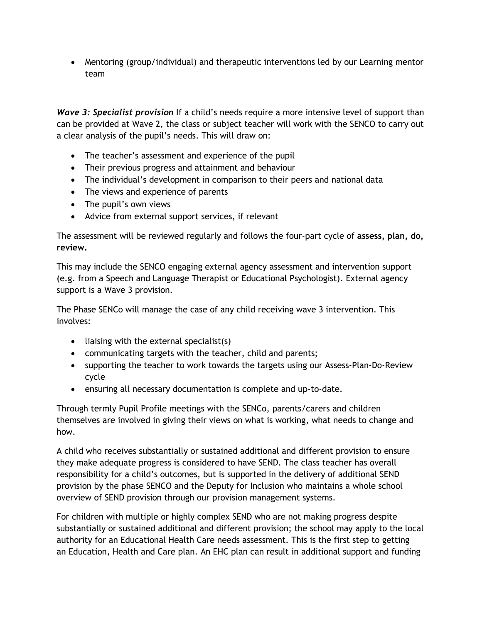Mentoring (group/individual) and therapeutic interventions led by our Learning mentor team

*Wave 3: Specialist provision* If a child's needs require a more intensive level of support than can be provided at Wave 2, the class or subject teacher will work with the SENCO to carry out a clear analysis of the pupil's needs. This will draw on:

- The teacher's assessment and experience of the pupil
- Their previous progress and attainment and behaviour
- The individual's development in comparison to their peers and national data
- The views and experience of parents
- The pupil's own views
- Advice from external support services, if relevant

The assessment will be reviewed regularly and follows the four-part cycle of **assess, plan, do, review.**

This may include the SENCO engaging external agency assessment and intervention support (e.g. from a Speech and Language Therapist or Educational Psychologist). External agency support is a Wave 3 provision.

The Phase SENCo will manage the case of any child receiving wave 3 intervention. This involves:

- $\bullet$  liaising with the external specialist(s)
- communicating targets with the teacher, child and parents;
- supporting the teacher to work towards the targets using our Assess-Plan-Do-Review cycle
- ensuring all necessary documentation is complete and up-to-date.

Through termly Pupil Profile meetings with the SENCo, parents/carers and children themselves are involved in giving their views on what is working, what needs to change and how.

A child who receives substantially or sustained additional and different provision to ensure they make adequate progress is considered to have SEND. The class teacher has overall responsibility for a child's outcomes, but is supported in the delivery of additional SEND provision by the phase SENCO and the Deputy for Inclusion who maintains a whole school overview of SEND provision through our provision management systems.

For children with multiple or highly complex SEND who are not making progress despite substantially or sustained additional and different provision; the school may apply to the local authority for an Educational Health Care needs assessment. This is the first step to getting an Education, Health and Care plan. An EHC plan can result in additional support and funding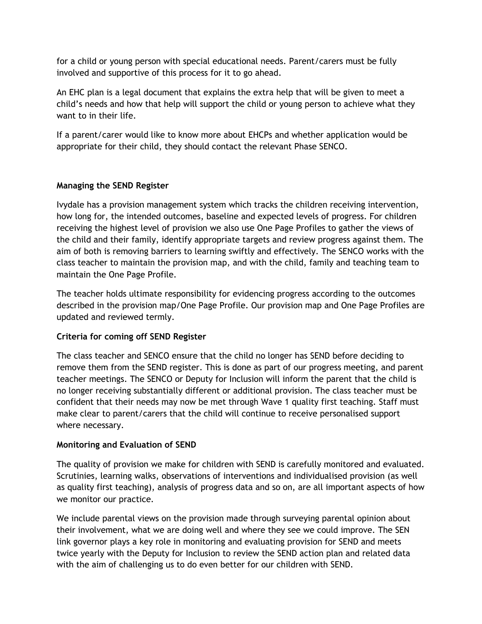for a child or young person with special educational needs. Parent/carers must be fully involved and supportive of this process for it to go ahead.

An EHC plan is a legal document that explains the extra help that will be given to meet a child's needs and how that help will support the child or young person to achieve what they want to in their life.

If a parent/carer would like to know more about EHCPs and whether application would be appropriate for their child, they should contact the relevant Phase SENCO.

#### **Managing the SEND Register**

Ivydale has a provision management system which tracks the children receiving intervention, how long for, the intended outcomes, baseline and expected levels of progress. For children receiving the highest level of provision we also use One Page Profiles to gather the views of the child and their family, identify appropriate targets and review progress against them. The aim of both is removing barriers to learning swiftly and effectively. The SENCO works with the class teacher to maintain the provision map, and with the child, family and teaching team to maintain the One Page Profile.

The teacher holds ultimate responsibility for evidencing progress according to the outcomes described in the provision map/One Page Profile. Our provision map and One Page Profiles are updated and reviewed termly.

#### **Criteria for coming off SEND Register**

The class teacher and SENCO ensure that the child no longer has SEND before deciding to remove them from the SEND register. This is done as part of our progress meeting, and parent teacher meetings. The SENCO or Deputy for Inclusion will inform the parent that the child is no longer receiving substantially different or additional provision. The class teacher must be confident that their needs may now be met through Wave 1 quality first teaching. Staff must make clear to parent/carers that the child will continue to receive personalised support where necessary.

#### **Monitoring and Evaluation of SEND**

The quality of provision we make for children with SEND is carefully monitored and evaluated. Scrutinies, learning walks, observations of interventions and individualised provision (as well as quality first teaching), analysis of progress data and so on, are all important aspects of how we monitor our practice.

We include parental views on the provision made through surveying parental opinion about their involvement, what we are doing well and where they see we could improve. The SEN link governor plays a key role in monitoring and evaluating provision for SEND and meets twice yearly with the Deputy for Inclusion to review the SEND action plan and related data with the aim of challenging us to do even better for our children with SEND.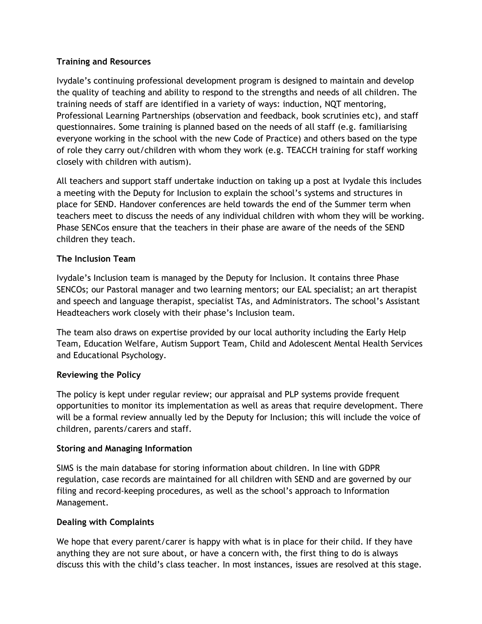#### **Training and Resources**

Ivydale's continuing professional development program is designed to maintain and develop the quality of teaching and ability to respond to the strengths and needs of all children. The training needs of staff are identified in a variety of ways: induction, NQT mentoring, Professional Learning Partnerships (observation and feedback, book scrutinies etc), and staff questionnaires. Some training is planned based on the needs of all staff (e.g. familiarising everyone working in the school with the new Code of Practice) and others based on the type of role they carry out/children with whom they work (e.g. TEACCH training for staff working closely with children with autism).

All teachers and support staff undertake induction on taking up a post at Ivydale this includes a meeting with the Deputy for Inclusion to explain the school's systems and structures in place for SEND. Handover conferences are held towards the end of the Summer term when teachers meet to discuss the needs of any individual children with whom they will be working. Phase SENCos ensure that the teachers in their phase are aware of the needs of the SEND children they teach.

#### **The Inclusion Team**

Ivydale's Inclusion team is managed by the Deputy for Inclusion. It contains three Phase SENCOs; our Pastoral manager and two learning mentors; our EAL specialist; an art therapist and speech and language therapist, specialist TAs, and Administrators. The school's Assistant Headteachers work closely with their phase's Inclusion team.

The team also draws on expertise provided by our local authority including the Early Help Team, Education Welfare, Autism Support Team, Child and Adolescent Mental Health Services and Educational Psychology.

#### **Reviewing the Policy**

The policy is kept under regular review; our appraisal and PLP systems provide frequent opportunities to monitor its implementation as well as areas that require development. There will be a formal review annually led by the Deputy for Inclusion; this will include the voice of children, parents/carers and staff.

#### **Storing and Managing Information**

SIMS is the main database for storing information about children. In line with GDPR regulation, case records are maintained for all children with SEND and are governed by our filing and record-keeping procedures, as well as the school's approach to Information Management.

#### **Dealing with Complaints**

We hope that every parent/carer is happy with what is in place for their child. If they have anything they are not sure about, or have a concern with, the first thing to do is always discuss this with the child's class teacher. In most instances, issues are resolved at this stage.